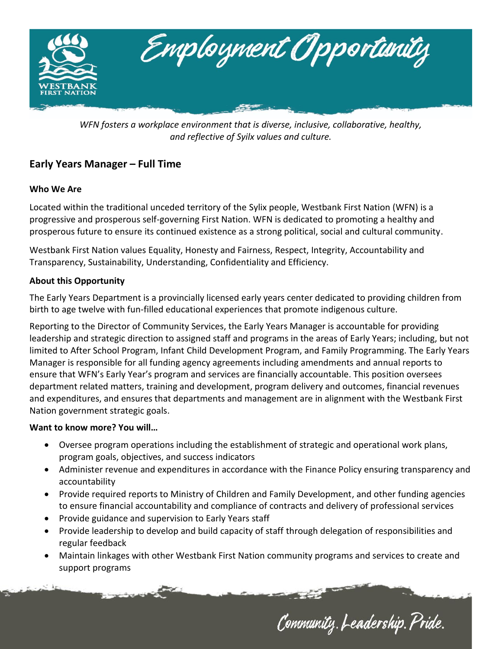

*WFN fosters a workplace environment that is diverse, inclusive, collaborative, healthy, and reflective of Syilx values and culture.*

# **Early Years Manager – Full Time**

## **Who We Are**

Located within the traditional unceded territory of the Sylix people, Westbank First Nation (WFN) is a progressive and prosperous self-governing First Nation. WFN is dedicated to promoting a healthy and prosperous future to ensure its continued existence as a strong political, social and cultural community.

Westbank First Nation values Equality, Honesty and Fairness, Respect, Integrity, Accountability and Transparency, Sustainability, Understanding, Confidentiality and Efficiency.

## **About this Opportunity**

The Early Years Department is a provincially licensed early years center dedicated to providing children from birth to age twelve with fun-filled educational experiences that promote indigenous culture.

Reporting to the Director of Community Services, the Early Years Manager is accountable for providing leadership and strategic direction to assigned staff and programs in the areas of Early Years; including, but not limited to After School Program, Infant Child Development Program, and Family Programming. The Early Years Manager is responsible for all funding agency agreements including amendments and annual reports to ensure that WFN's Early Year's program and services are financially accountable. This position oversees department related matters, training and development, program delivery and outcomes, financial revenues and expenditures, and ensures that departments and management are in alignment with the Westbank First Nation government strategic goals.

## **Want to know more? You will…**

- Oversee program operations including the establishment of strategic and operational work plans, program goals, objectives, and success indicators
- Administer revenue and expenditures in accordance with the Finance Policy ensuring transparency and accountability
- Provide required reports to Ministry of Children and Family Development, and other funding agencies to ensure financial accountability and compliance of contracts and delivery of professional services
- Provide guidance and supervision to Early Years staff
- Provide leadership to develop and build capacity of staff through delegation of responsibilities and regular feedback
- Maintain linkages with other Westbank First Nation community programs and services to create and support programs

Community. Leadership. Pride.